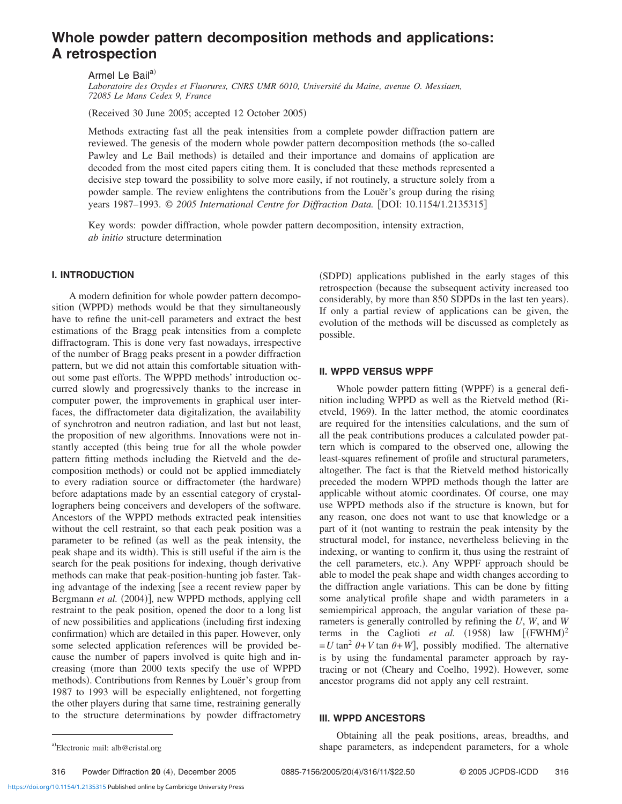# **Whole powder pattern decomposition methods and applications: A retrospection**

Armel Le Bail<sup>a)</sup>

*Laboratoire des Oxydes et Fluorures, CNRS UMR 6010, Université du Maine, avenue O. Messiaen, 72085 Le Mans Cedex 9, France*

(Received 30 June 2005; accepted 12 October 2005)

Methods extracting fast all the peak intensities from a complete powder diffraction pattern are reviewed. The genesis of the modern whole powder pattern decomposition methods the so-called Pawley and Le Bail methods) is detailed and their importance and domains of application are decoded from the most cited papers citing them. It is concluded that these methods represented a decisive step toward the possibility to solve more easily, if not routinely, a structure solely from a powder sample. The review enlightens the contributions from the Louër's group during the rising years 1987–1993. © 2005 International Centre for Diffraction Data. [DOI: 10.1154/1.2135315]

Key words: powder diffraction, whole powder pattern decomposition, intensity extraction, *ab initio* structure determination

#### **I. INTRODUCTION**

A modern definition for whole powder pattern decomposition (WPPD) methods would be that they simultaneously have to refine the unit-cell parameters and extract the best estimations of the Bragg peak intensities from a complete diffractogram. This is done very fast nowadays, irrespective of the number of Bragg peaks present in a powder diffraction pattern, but we did not attain this comfortable situation without some past efforts. The WPPD methods' introduction occurred slowly and progressively thanks to the increase in computer power, the improvements in graphical user interfaces, the diffractometer data digitalization, the availability of synchrotron and neutron radiation, and last but not least, the proposition of new algorithms. Innovations were not instantly accepted (this being true for all the whole powder pattern fitting methods including the Rietveld and the decomposition methods) or could not be applied immediately to every radiation source or diffractometer (the hardware) before adaptations made by an essential category of crystallographers being conceivers and developers of the software. Ancestors of the WPPD methods extracted peak intensities without the cell restraint, so that each peak position was a parameter to be refined (as well as the peak intensity, the peak shape and its width). This is still useful if the aim is the search for the peak positions for indexing, though derivative methods can make that peak-position-hunting job faster. Taking advantage of the indexing see a recent review paper by Bergmann et al. (2004)], new WPPD methods, applying cell restraint to the peak position, opened the door to a long list of new possibilities and applications (including first indexing confirmation) which are detailed in this paper. However, only some selected application references will be provided because the number of papers involved is quite high and increasing more than 2000 texts specify the use of WPPD methods). Contributions from Rennes by Louër's group from 1987 to 1993 will be especially enlightened, not forgetting the other players during that same time, restraining generally to the structure determinations by powder diffractometry

(SDPD) applications published in the early stages of this retrospection (because the subsequent activity increased too considerably, by more than 850 SDPDs in the last ten years). If only a partial review of applications can be given, the evolution of the methods will be discussed as completely as possible.

#### **II. WPPD VERSUS WPPF**

Whole powder pattern fitting (WPPF) is a general definition including WPPD as well as the Rietveld method Rietveld, 1969). In the latter method, the atomic coordinates are required for the intensities calculations, and the sum of all the peak contributions produces a calculated powder pattern which is compared to the observed one, allowing the least-squares refinement of profile and structural parameters, altogether. The fact is that the Rietveld method historically preceded the modern WPPD methods though the latter are applicable without atomic coordinates. Of course, one may use WPPD methods also if the structure is known, but for any reason, one does not want to use that knowledge or a part of it (not wanting to restrain the peak intensity by the structural model, for instance, nevertheless believing in the indexing, or wanting to confirm it, thus using the restraint of the cell parameters, etc.). Any WPPF approach should be able to model the peak shape and width changes according to the diffraction angle variations. This can be done by fitting some analytical profile shape and width parameters in a semiempirical approach, the angular variation of these parameters is generally controlled by refining the *U*, *W*, and *W* terms in the Caglioti et al.  $(1958)$  law  $[(FWHM)^2]$  $=$ *U* tan<sup>2</sup>  $\theta$ +*V* tan  $\theta$ +*W*, possibly modified. The alternative is by using the fundamental parameter approach by raytracing or not (Cheary and Coelho, 1992). However, some ancestor programs did not apply any cell restraint.

# **III. WPPD ANCESTORS**

Obtaining all the peak positions, areas, breadths, and shape parameters, as independent parameters, for a whole

<https://doi.org/10.1154/1.2135315> Published online by Cambridge University Press

Electronic mail: alb@cristal.org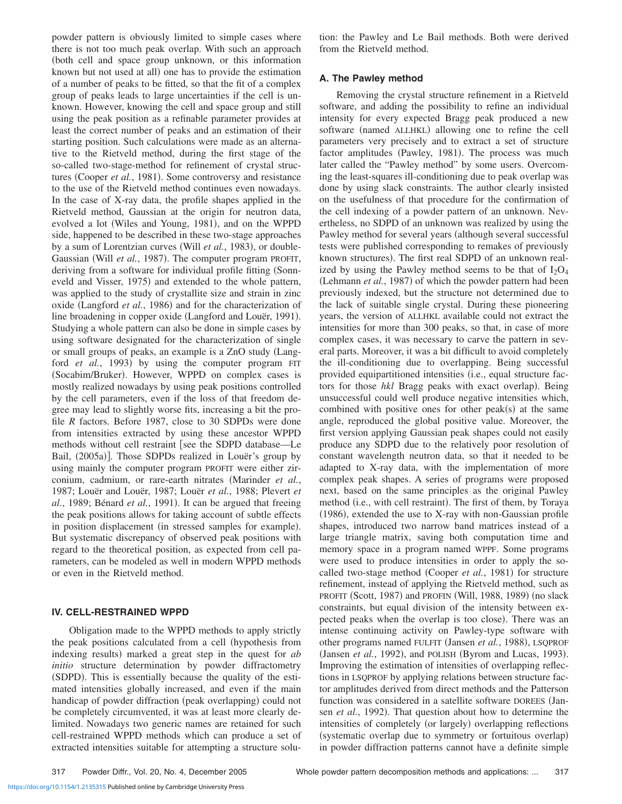powder pattern is obviously limited to simple cases where there is not too much peak overlap. With such an approach both cell and space group unknown, or this information known but not used at all) one has to provide the estimation of a number of peaks to be fitted, so that the fit of a complex group of peaks leads to large uncertainties if the cell is unknown. However, knowing the cell and space group and still using the peak position as a refinable parameter provides at least the correct number of peaks and an estimation of their starting position. Such calculations were made as an alternative to the Rietveld method, during the first stage of the so-called two-stage-method for refinement of crystal structures (Cooper et al., 1981). Some controversy and resistance to the use of the Rietveld method continues even nowadays. In the case of X-ray data, the profile shapes applied in the Rietveld method, Gaussian at the origin for neutron data, evolved a lot (Wiles and Young, 1981), and on the WPPD side, happened to be described in these two-stage approaches by a sum of Lorentzian curves (Will et al., 1983), or double-Gaussian (Will et al., 1987). The computer program PROFIT, deriving from a software for individual profile fitting (Sonneveld and Visser, 1975) and extended to the whole pattern, was applied to the study of crystallite size and strain in zinc oxide (Langford et al., 1986) and for the characterization of line broadening in copper oxide (Langford and Louër, 1991). Studying a whole pattern can also be done in simple cases by using software designated for the characterization of single or small groups of peaks, an example is a ZnO study Langford *et al.*, 1993) by using the computer program FIT (Socabim/Bruker). However, WPPD on complex cases is mostly realized nowadays by using peak positions controlled by the cell parameters, even if the loss of that freedom degree may lead to slightly worse fits, increasing a bit the profile *R* factors. Before 1987, close to 30 SDPDs were done from intensities extracted by using these ancestor WPPD methods without cell restraint [see the SDPD database—Le Bail, (2005a)]. Those SDPDs realized in Louër's group by using mainly the computer program PROFIT were either zirconium, cadmium, or rare-earth nitrates Marinder *et al.*, 1987; Louër and Louër, 1987; Louër *et al.*, 1988; Plevert *et* al., 1989; Bénard et al., 1991). It can be argued that freeing the peak positions allows for taking account of subtle effects in position displacement (in stressed samples for example). But systematic discrepancy of observed peak positions with regard to the theoretical position, as expected from cell parameters, can be modeled as well in modern WPPD methods or even in the Rietveld method.

## **IV. CELL-RESTRAINED WPPD**

Obligation made to the WPPD methods to apply strictly the peak positions calculated from a cell (hypothesis from indexing results) marked a great step in the quest for *ab initio* structure determination by powder diffractometry (SDPD). This is essentially because the quality of the estimated intensities globally increased, and even if the main handicap of powder diffraction (peak overlapping) could not be completely circumvented, it was at least more clearly delimited. Nowadays two generic names are retained for such cell-restrained WPPD methods which can produce a set of extracted intensities suitable for attempting a structure solu-

tion: the Pawley and Le Bail methods. Both were derived from the Rietveld method.

#### **A. The Pawley method**

Removing the crystal structure refinement in a Rietveld software, and adding the possibility to refine an individual intensity for every expected Bragg peak produced a new software (named ALLHKL) allowing one to refine the cell parameters very precisely and to extract a set of structure factor amplitudes (Pawley, 1981). The process was much later called the "Pawley method" by some users. Overcoming the least-squares ill-conditioning due to peak overlap was done by using slack constraints. The author clearly insisted on the usefulness of that procedure for the confirmation of the cell indexing of a powder pattern of an unknown. Nevertheless, no SDPD of an unknown was realized by using the Pawley method for several years (although several successful tests were published corresponding to remakes of previously known structures). The first real SDPD of an unknown realized by using the Pawley method seems to be that of  $I_2O_4$ (Lehmann et al., 1987) of which the powder pattern had been previously indexed, but the structure not determined due to the lack of suitable single crystal. During these pioneering years, the version of ALLHKL available could not extract the intensities for more than 300 peaks, so that, in case of more complex cases, it was necessary to carve the pattern in several parts. Moreover, it was a bit difficult to avoid completely the ill-conditioning due to overlapping. Being successful provided equipartitioned intensities (i.e., equal structure factors for those hkl Bragg peaks with exact overlap). Being unsuccessful could well produce negative intensities which, combined with positive ones for other  $peak(s)$  at the same angle, reproduced the global positive value. Moreover, the first version applying Gaussian peak shapes could not easily produce any SDPD due to the relatively poor resolution of constant wavelength neutron data, so that it needed to be adapted to X-ray data, with the implementation of more complex peak shapes. A series of programs were proposed next, based on the same principles as the original Pawley method (i.e., with cell restraint). The first of them, by Toraya (1986), extended the use to X-ray with non-Gaussian profile shapes, introduced two narrow band matrices instead of a large triangle matrix, saving both computation time and memory space in a program named WPPF. Some programs were used to produce intensities in order to apply the socalled two-stage method (Cooper et al., 1981) for structure refinement, instead of applying the Rietveld method, such as PROFIT (Scott, 1987) and PROFIN (Will, 1988, 1989) (no slack constraints, but equal division of the intensity between expected peaks when the overlap is too close). There was an intense continuing activity on Pawley-type software with other programs named FULFIT (Jansen et al., 1988), LSQPROF (Jansen et al., 1992), and POLISH (Byrom and Lucas, 1993). Improving the estimation of intensities of overlapping reflections in LSQPROF by applying relations between structure factor amplitudes derived from direct methods and the Patterson function was considered in a satellite software DOREES (Jansen et al., 1992). That question about how to determine the intensities of completely (or largely) overlapping reflections (systematic overlap due to symmetry or fortuitous overlap) in powder diffraction patterns cannot have a definite simple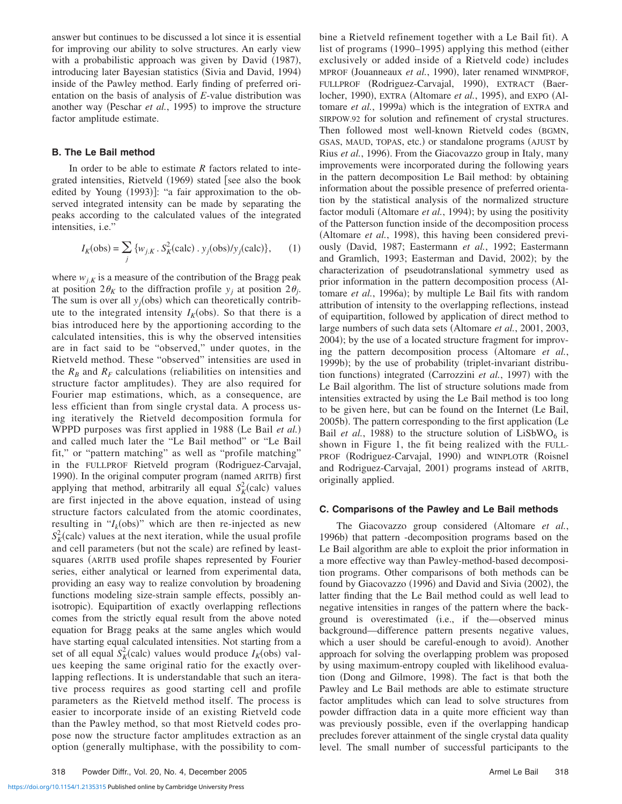answer but continues to be discussed a lot since it is essential for improving our ability to solve structures. An early view with a probabilistic approach was given by David (1987), introducing later Bayesian statistics (Sivia and David, 1994) inside of the Pawley method. Early finding of preferred orientation on the basis of analysis of *E*-value distribution was another way (Peschar et al., 1995) to improve the structure factor amplitude estimate.

#### **B. The Le Bail method**

In order to be able to estimate *R* factors related to integrated intensities, Rietveld (1969) stated [see also the book edited by Young (1993)]: "a fair approximation to the observed integrated intensity can be made by separating the peaks according to the calculated values of the integrated intensities, i.e."

$$
I_K(\text{obs}) = \sum_j \{ w_{j,K} \cdot S_K^2(\text{calc}) \cdot y_j(\text{obs})/y_j(\text{calc}) \},\qquad(1)
$$

where  $w_{j,K}$  is a measure of the contribution of the Bragg peak at position  $2\theta_K$  to the diffraction profile  $y_i$  at position  $2\theta_i$ . The sum is over all  $y_j$ (obs) which can theoretically contribute to the integrated intensity  $I_K(\text{obs})$ . So that there is a bias introduced here by the apportioning according to the calculated intensities, this is why the observed intensities are in fact said to be "observed," under quotes, in the Rietveld method. These "observed" intensities are used in the  $R_B$  and  $R_F$  calculations (reliabilities on intensities and structure factor amplitudes). They are also required for Fourier map estimations, which, as a consequence, are less efficient than from single crystal data. A process using iteratively the Rietveld decomposition formula for WPPD purposes was first applied in 1988 (Le Bail et al.) and called much later the "Le Bail method" or "Le Bail fit," or "pattern matching" as well as "profile matching" in the FULLPROF Rietveld program (Rodriguez-Carvajal, 1990). In the original computer program (named ARITB) first applying that method, arbitrarily all equal  $S_K^2$  (calc) values are first injected in the above equation, instead of using structure factors calculated from the atomic coordinates, resulting in  $\mathcal{I}_k$ (obs)" which are then re-injected as new  $S_K^2$ (calc) values at the next iteration, while the usual profile and cell parameters (but not the scale) are refined by leastsquares (ARITB used profile shapes represented by Fourier series, either analytical or learned from experimental data, providing an easy way to realize convolution by broadening functions modeling size-strain sample effects, possibly anisotropic). Equipartition of exactly overlapping reflections comes from the strictly equal result from the above noted equation for Bragg peaks at the same angles which would have starting equal calculated intensities. Not starting from a set of all equal  $S_K^2$ (calc) values would produce  $I_K$ (obs) values keeping the same original ratio for the exactly overlapping reflections. It is understandable that such an iterative process requires as good starting cell and profile parameters as the Rietveld method itself. The process is easier to incorporate inside of an existing Rietveld code than the Pawley method, so that most Rietveld codes propose now the structure factor amplitudes extraction as an option generally multiphase, with the possibility to com-

bine a Rietveld refinement together with a Le Bail fit). A list of programs (1990–1995) applying this method (either exclusively or added inside of a Rietveld code) includes MPROF (Jouanneaux et al., 1990), later renamed WINMPROF, FULLPROF (Rodriguez-Carvajal, 1990), EXTRACT (Baerlocher, 1990), EXTRA (Altomare *et al.*, 1995), and EXPO (Altomare et al., 1999a) which is the integration of EXTRA and SIRPOW.92 for solution and refinement of crystal structures. Then followed most well-known Rietveld codes (BGMN, GSAS, MAUD, TOPAS, etc.) or standalone programs (AJUST by Rius et al., 1996). From the Giacovazzo group in Italy, many improvements were incorporated during the following years in the pattern decomposition Le Bail method: by obtaining information about the possible presence of preferred orientation by the statistical analysis of the normalized structure factor moduli (Altomare et al., 1994); by using the positivity of the Patterson function inside of the decomposition process (Altomare et al., 1998), this having been considered previously David, 1987; Eastermann *et al.*, 1992; Eastermann and Gramlich, 1993; Easterman and David, 2002); by the characterization of pseudotranslational symmetry used as prior information in the pattern decomposition process Altomare et al., 1996a); by multiple Le Bail fits with random attribution of intensity to the overlapping reflections, instead of equipartition, followed by application of direct method to large numbers of such data sets (Altomare *et al.*, 2001, 2003, 2004); by the use of a located structure fragment for improving the pattern decomposition process (Altomare *et al.*, 1999b); by the use of probability (triplet-invariant distribution functions) integrated (Carrozzini et al., 1997) with the Le Bail algorithm. The list of structure solutions made from intensities extracted by using the Le Bail method is too long to be given here, but can be found on the Internet Le Bail, 2005b). The pattern corresponding to the first application (Le Bail *et al.*, 1988) to the structure solution of  $LiSbWO<sub>6</sub>$  is shown in Figure 1, the fit being realized with the FULL-PROF (Rodriguez-Carvajal, 1990) and WINPLOTR (Roisnel and Rodriguez-Carvajal, 2001) programs instead of ARITB, originally applied.

#### **C. Comparisons of the Pawley and Le Bail methods**

The Giacovazzo group considered Altomare *et al.*, 1996b) that pattern -decomposition programs based on the Le Bail algorithm are able to exploit the prior information in a more effective way than Pawley-method-based decomposition programs. Other comparisons of both methods can be found by Giacovazzo (1996) and David and Sivia (2002), the latter finding that the Le Bail method could as well lead to negative intensities in ranges of the pattern where the background is overestimated i.e., if the—observed minus background—difference pattern presents negative values, which a user should be careful-enough to avoid). Another approach for solving the overlapping problem was proposed by using maximum-entropy coupled with likelihood evaluation (Dong and Gilmore, 1998). The fact is that both the Pawley and Le Bail methods are able to estimate structure factor amplitudes which can lead to solve structures from powder diffraction data in a quite more efficient way than was previously possible, even if the overlapping handicap precludes forever attainment of the single crystal data quality level. The small number of successful participants to the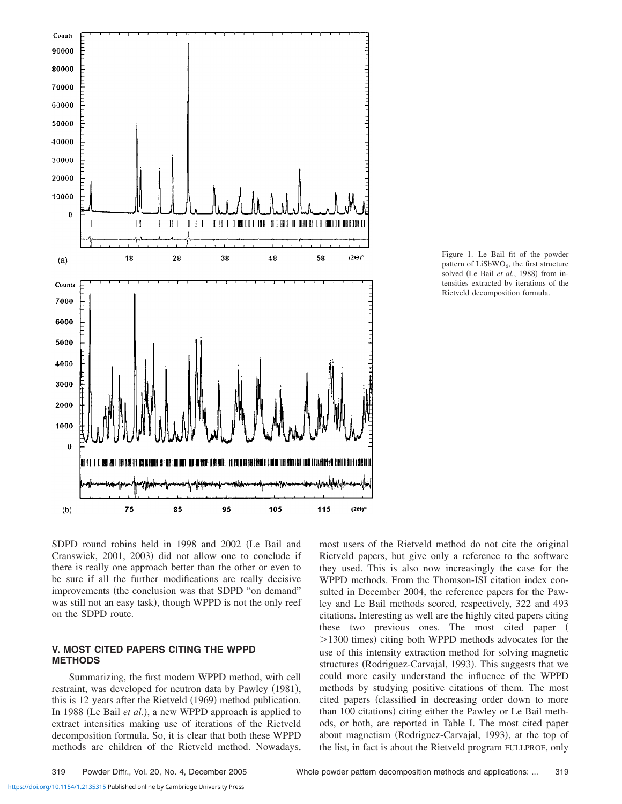

Figure 1. Le Bail fit of the powder pattern of  $LiSbWO<sub>6</sub>$ , the first structure solved (Le Bail et al., 1988) from intensities extracted by iterations of the Rietveld decomposition formula.

SDPD round robins held in 1998 and 2002 Le Bail and Cranswick, 2001, 2003) did not allow one to conclude if there is really one approach better than the other or even to be sure if all the further modifications are really decisive improvements (the conclusion was that SDPD "on demand" was still not an easy task), though WPPD is not the only reef on the SDPD route.

## **V. MOST CITED PAPERS CITING THE WPPD METHODS**

Summarizing, the first modern WPPD method, with cell restraint, was developed for neutron data by Pawley (1981), this is 12 years after the Rietveld (1969) method publication. In 1988 (Le Bail et al.), a new WPPD approach is applied to extract intensities making use of iterations of the Rietveld decomposition formula. So, it is clear that both these WPPD methods are children of the Rietveld method. Nowadays, most users of the Rietveld method do not cite the original Rietveld papers, but give only a reference to the software they used. This is also now increasingly the case for the WPPD methods. From the Thomson-ISI citation index consulted in December 2004, the reference papers for the Pawley and Le Bail methods scored, respectively, 322 and 493 citations. Interesting as well are the highly cited papers citing these two previous ones. The most cited paper >1300 times) citing both WPPD methods advocates for the use of this intensity extraction method for solving magnetic structures (Rodriguez-Carvajal, 1993). This suggests that we could more easily understand the influence of the WPPD methods by studying positive citations of them. The most cited papers (classified in decreasing order down to more than 100 citations) citing either the Pawley or Le Bail methods, or both, are reported in Table I. The most cited paper about magnetism (Rodriguez-Carvajal, 1993), at the top of the list, in fact is about the Rietveld program FULLPROF, only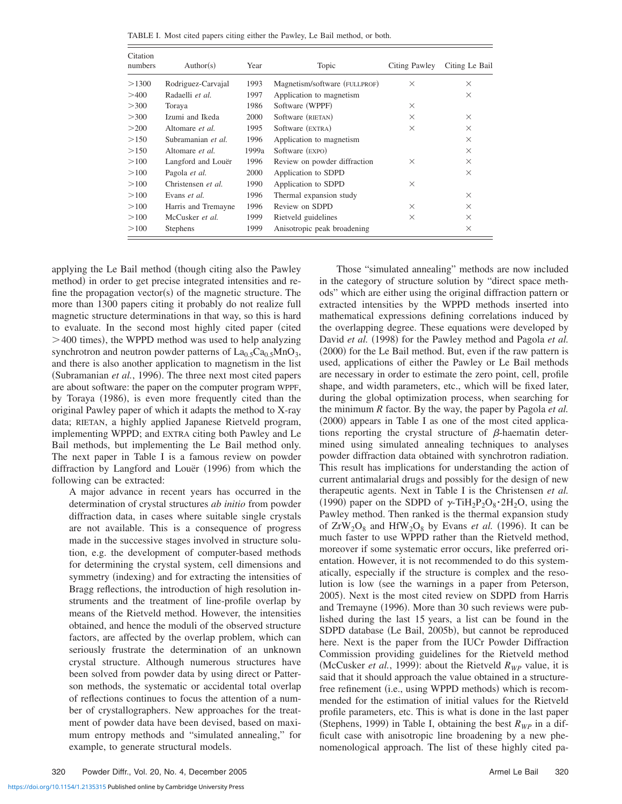TABLE I. Most cited papers citing either the Pawley, Le Bail method, or both.

| Citation<br>numbers | Author(s)              | Year  | Topic                         | Citing Pawley | Citing Le Bail |
|---------------------|------------------------|-------|-------------------------------|---------------|----------------|
| >1300               | Rodriguez-Carvajal     | 1993  | Magnetism/software (FULLPROF) | $\times$      | $\times$       |
| >400                | Radaelli et al.        | 1997  | Application to magnetism      |               | $\times$       |
| >300                | Toraya                 | 1986  | Software (WPPF)               | $\times$      |                |
| >300                | Izumi and Ikeda        | 2000  | Software (RIETAN)             | $\times$      | $\times$       |
| >200                | Altomare <i>et al.</i> | 1995  | Software (EXTRA)              | $\times$      | $\times$       |
| >150                | Subramanian et al.     | 1996  | Application to magnetism      |               | $\times$       |
| >150                | Altomare <i>et al.</i> | 1999a | Software (EXPO)               |               | X              |
| >100                | Langford and Louër     | 1996  | Review on powder diffraction  | $\times$      | $\times$       |
| >100                | Pagola et al.          | 2000  | Application to SDPD           |               | $\times$       |
| >100                | Christensen et al.     | 1990  | Application to SDPD           | $\times$      |                |
| >100                | Evans et al.           | 1996  | Thermal expansion study       |               | $\times$       |
| >100                | Harris and Tremayne    | 1996  | Review on SDPD                | $\times$      | $\times$       |
| >100                | McCusker et al.        | 1999  | Rietveld guidelines           | $\times$      | $\times$       |
| >100                | Stephens               | 1999  | Anisotropic peak broadening   |               | $\times$       |

applying the Le Bail method (though citing also the Pawley method) in order to get precise integrated intensities and refine the propagation vector(s) of the magnetic structure. The more than 1300 papers citing it probably do not realize full magnetic structure determinations in that way, so this is hard to evaluate. In the second most highly cited paper cited >400 times), the WPPD method was used to help analyzing synchrotron and neutron powder patterns of  $La_0sCa_0sMnO_3$ , and there is also another application to magnetism in the list (Subramanian et al., 1996). The three next most cited papers are about software: the paper on the computer program WPPF, by Toraya (1986), is even more frequently cited than the original Pawley paper of which it adapts the method to X-ray data; RIETAN, a highly applied Japanese Rietveld program, implementing WPPD; and EXTRA citing both Pawley and Le Bail methods, but implementing the Le Bail method only. The next paper in Table I is a famous review on powder diffraction by Langford and Louër (1996) from which the following can be extracted:

A major advance in recent years has occurred in the determination of crystal structures *ab initio* from powder diffraction data, in cases where suitable single crystals are not available. This is a consequence of progress made in the successive stages involved in structure solution, e.g. the development of computer-based methods for determining the crystal system, cell dimensions and symmetry (indexing) and for extracting the intensities of Bragg reflections, the introduction of high resolution instruments and the treatment of line-profile overlap by means of the Rietveld method. However, the intensities obtained, and hence the moduli of the observed structure factors, are affected by the overlap problem, which can seriously frustrate the determination of an unknown crystal structure. Although numerous structures have been solved from powder data by using direct or Patterson methods, the systematic or accidental total overlap of reflections continues to focus the attention of a number of crystallographers. New approaches for the treatment of powder data have been devised, based on maximum entropy methods and "simulated annealing," for example, to generate structural models.

Those "simulated annealing" methods are now included in the category of structure solution by "direct space methods" which are either using the original diffraction pattern or extracted intensities by the WPPD methods inserted into mathematical expressions defining correlations induced by the overlapping degree. These equations were developed by David et al. (1998) for the Pawley method and Pagola et al. (2000) for the Le Bail method. But, even if the raw pattern is used, applications of either the Pawley or Le Bail methods are necessary in order to estimate the zero point, cell, profile shape, and width parameters, etc., which will be fixed later, during the global optimization process, when searching for the minimum *R* factor. By the way, the paper by Pagola *et al.* (2000) appears in Table I as one of the most cited applications reporting the crystal structure of  $\beta$ -haematin determined using simulated annealing techniques to analyses powder diffraction data obtained with synchrotron radiation. This result has implications for understanding the action of current antimalarial drugs and possibly for the design of new therapeutic agents. Next in Table I is the Christensen *et al.* (1990) paper on the SDPD of  $\gamma$ -TiH<sub>2</sub>P<sub>2</sub>O<sub>8</sub>·2H<sub>2</sub>O, using the Pawley method. Then ranked is the thermal expansion study of  $ZrW_2O_8$  and  $HfW_2O_8$  by Evans *et al.* (1996). It can be much faster to use WPPD rather than the Rietveld method, moreover if some systematic error occurs, like preferred orientation. However, it is not recommended to do this systematically, especially if the structure is complex and the resolution is low (see the warnings in a paper from Peterson, 2005). Next is the most cited review on SDPD from Harris and Tremayne (1996). More than 30 such reviews were published during the last 15 years, a list can be found in the SDPD database (Le Bail, 2005b), but cannot be reproduced here. Next is the paper from the IUCr Powder Diffraction Commission providing guidelines for the Rietveld method (McCusker *et al.*, 1999): about the Rietveld  $R_{WP}$  value, it is said that it should approach the value obtained in a structurefree refinement (i.e., using WPPD methods) which is recommended for the estimation of initial values for the Rietveld profile parameters, etc. This is what is done in the last paper (Stephens, 1999) in Table I, obtaining the best  $R_{WP}$  in a difficult case with anisotropic line broadening by a new phenomenological approach. The list of these highly cited pa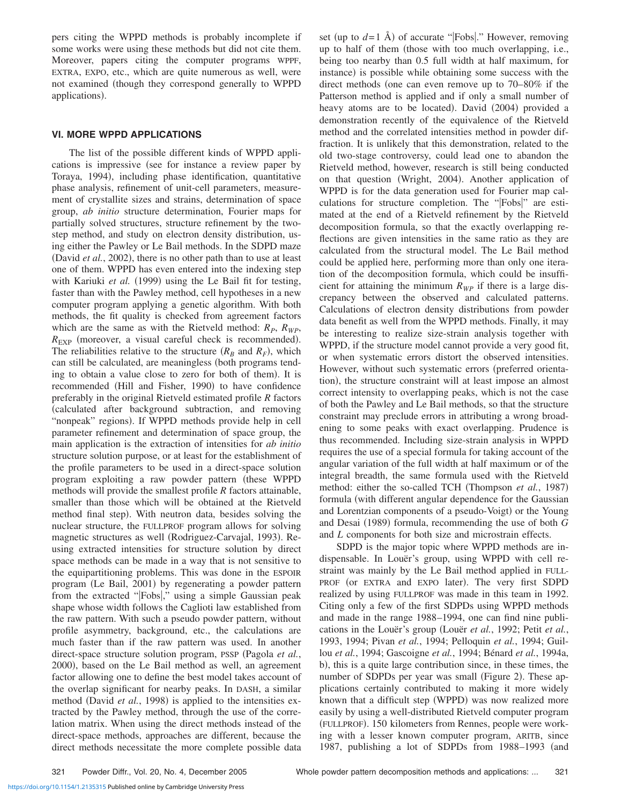pers citing the WPPD methods is probably incomplete if some works were using these methods but did not cite them. Moreover, papers citing the computer programs WPPF, EXTRA, EXPO, etc., which are quite numerous as well, were not examined (though they correspond generally to WPPD applications).

#### **VI. MORE WPPD APPLICATIONS**

The list of the possible different kinds of WPPD applications is impressive (see for instance a review paper by Toraya, 1994), including phase identification, quantitative phase analysis, refinement of unit-cell parameters, measurement of crystallite sizes and strains, determination of space group, *ab initio* structure determination, Fourier maps for partially solved structures, structure refinement by the twostep method, and study on electron density distribution, using either the Pawley or Le Bail methods. In the SDPD maze (David et al., 2002), there is no other path than to use at least one of them. WPPD has even entered into the indexing step with Kariuki et al. (1999) using the Le Bail fit for testing, faster than with the Pawley method, cell hypotheses in a new computer program applying a genetic algorithm. With both methods, the fit quality is checked from agreement factors which are the same as with the Rietveld method:  $R_p$ ,  $R_{WP}$ ,  $R_{\text{EXP}}$  (moreover, a visual careful check is recommended). The reliabilities relative to the structure  $(R_B \text{ and } R_F)$ , which can still be calculated, are meaningless (both programs tending to obtain a value close to zero for both of them). It is recommended (Hill and Fisher, 1990) to have confidence preferably in the original Rietveld estimated profile *R* factors calculated after background subtraction, and removing "nonpeak" regions). If WPPD methods provide help in cell parameter refinement and determination of space group, the main application is the extraction of intensities for *ab initio* structure solution purpose, or at least for the establishment of the profile parameters to be used in a direct-space solution program exploiting a raw powder pattern (these WPPD methods will provide the smallest profile *R* factors attainable, smaller than those which will be obtained at the Rietveld method final step). With neutron data, besides solving the nuclear structure, the FULLPROF program allows for solving magnetic structures as well (Rodriguez-Carvajal, 1993). Reusing extracted intensities for structure solution by direct space methods can be made in a way that is not sensitive to the equipartitioning problems. This was done in the ESPOIR program (Le Bail, 2001) by regenerating a powder pattern from the extracted "|Fobs|," using a simple Gaussian peak shape whose width follows the Caglioti law established from the raw pattern. With such a pseudo powder pattern, without profile asymmetry, background, etc., the calculations are much faster than if the raw pattern was used. In another direct-space structure solution program, PSSP (Pagola et al., 2000), based on the Le Bail method as well, an agreement factor allowing one to define the best model takes account of the overlap significant for nearby peaks. In DASH, a similar method (David et al., 1998) is applied to the intensities extracted by the Pawley method, through the use of the correlation matrix. When using the direct methods instead of the direct-space methods, approaches are different, because the direct methods necessitate the more complete possible data

set (up to  $d=1$  Å) of accurate "Fobs." However, removing up to half of them (those with too much overlapping, i.e., being too nearby than 0.5 full width at half maximum, for instance) is possible while obtaining some success with the direct methods (one can even remove up to  $70-80\%$  if the Patterson method is applied and if only a small number of heavy atoms are to be located). David (2004) provided a demonstration recently of the equivalence of the Rietveld method and the correlated intensities method in powder diffraction. It is unlikely that this demonstration, related to the old two-stage controversy, could lead one to abandon the Rietveld method, however, research is still being conducted on that question (Wright, 2004). Another application of WPPD is for the data generation used for Fourier map calculations for structure completion. The "Fobs" are estimated at the end of a Rietveld refinement by the Rietveld decomposition formula, so that the exactly overlapping reflections are given intensities in the same ratio as they are calculated from the structural model. The Le Bail method could be applied here, performing more than only one iteration of the decomposition formula, which could be insufficient for attaining the minimum  $R_{WP}$  if there is a large discrepancy between the observed and calculated patterns. Calculations of electron density distributions from powder data benefit as well from the WPPD methods. Finally, it may be interesting to realize size-strain analysis together with WPPD, if the structure model cannot provide a very good fit, or when systematic errors distort the observed intensities. However, without such systematic errors (preferred orientation), the structure constraint will at least impose an almost correct intensity to overlapping peaks, which is not the case of both the Pawley and Le Bail methods, so that the structure constraint may preclude errors in attributing a wrong broadening to some peaks with exact overlapping. Prudence is thus recommended. Including size-strain analysis in WPPD requires the use of a special formula for taking account of the angular variation of the full width at half maximum or of the integral breadth, the same formula used with the Rietveld method: either the so-called TCH (Thompson et al., 1987) formula (with different angular dependence for the Gaussian and Lorentzian components of a pseudo-Voigt) or the Young and Desai (1989) formula, recommending the use of both *G* and *L* components for both size and microstrain effects.

SDPD is the major topic where WPPD methods are indispensable. In Louër's group, using WPPD with cell restraint was mainly by the Le Bail method applied in FULL-PROF (or EXTRA and EXPO later). The very first SDPD realized by using FULLPROF was made in this team in 1992. Citing only a few of the first SDPDs using WPPD methods and made in the range 1988–1994, one can find nine publications in the Louër's group Louër *et al.*, 1992; Petit *et al.*, 1993, 1994; Pivan *et al.*, 1994; Pelloquin *et al.*, 1994; Guillou *et al.*, 1994; Gascoigne *et al.*, 1994; Bénard *et al.*, 1994a, b), this is a quite large contribution since, in these times, the number of SDPDs per year was small (Figure 2). These applications certainly contributed to making it more widely known that a difficult step (WPPD) was now realized more easily by using a well-distributed Rietveld computer program (FULLPROF). 150 kilometers from Rennes, people were working with a lesser known computer program, ARITB, since 1987, publishing a lot of SDPDs from 1988-1993 (and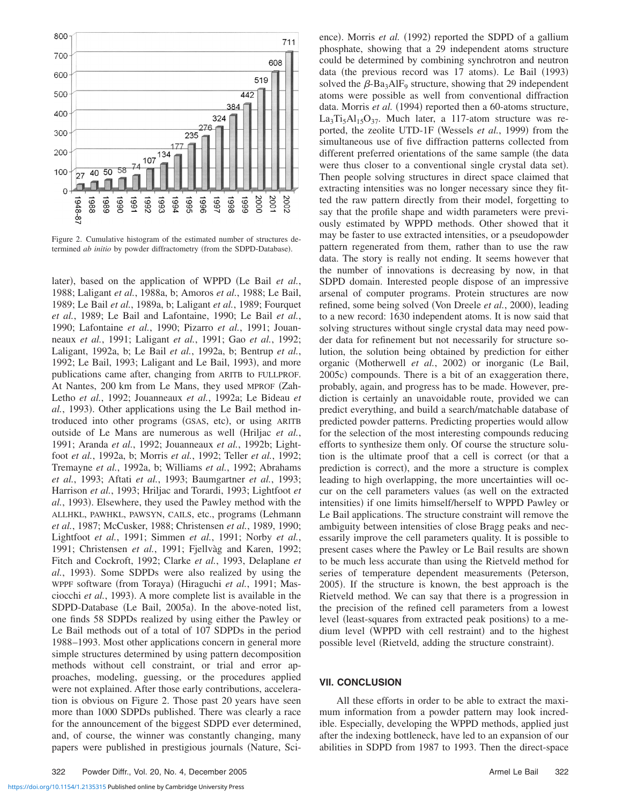

Figure 2. Cumulative histogram of the estimated number of structures determined *ab initio* by powder diffractometry (from the SDPD-Database).

later), based on the application of WPPD (Le Bail et al., 1988; Laligant *et al.*, 1988a, b; Amoros *et al.*, 1988; Le Bail, 1989; Le Bail *et al.*, 1989a, b; Laligant *et al.*, 1989; Fourquet *et al.*, 1989; Le Bail and Lafontaine, 1990; Le Bail *et al.*, 1990; Lafontaine *et al.*, 1990; Pizarro *et al.*, 1991; Jouanneaux *et al.*, 1991; Laligant *et al.*, 1991; Gao *et al.*, 1992; Laligant, 1992a, b; Le Bail *et al.*, 1992a, b; Bentrup *et al.*, 1992; Le Bail, 1993; Laligant and Le Bail, 1993), and more publications came after, changing from ARITB to FULLPROF. At Nantes, 200 km from Le Mans, they used MPROF (Zah-Letho *et al.*, 1992; Jouanneaux *et al.*, 1992a; Le Bideau *et* al., 1993). Other applications using the Le Bail method introduced into other programs (GSAS, etc), or using ARITB outside of Le Mans are numerous as well Hriljac *et al.*, 1991; Aranda *et al.*, 1992; Jouanneaux *et al.*, 1992b; Lightfoot *et al.*, 1992a, b; Morris *et al.*, 1992; Teller *et al.*, 1992; Tremayne *et al.*, 1992a, b; Williams *et al.*, 1992; Abrahams *et al.*, 1993; Aftati *et al.*, 1993; Baumgartner *et al.*, 1993; Harrison *et al.*, 1993; Hriljac and Torardi, 1993; Lightfoot *et* al., 1993). Elsewhere, they used the Pawley method with the ALLHKL, PAWHKL, PAWSYN, CAILS, etc., programs (Lehmann *et al.*, 1987; McCusker, 1988; Christensen *et al.*, 1989, 1990; Lightfoot *et al.*, 1991; Simmen *et al.*, 1991; Norby *et al.*, 1991; Christensen *et al.*, 1991; Fjellvàg and Karen, 1992; Fitch and Cockroft, 1992; Clarke *et al.*, 1993, Delaplane *et* al., 1993). Some SDPDs were also realized by using the wPPF software (from Toraya) (Hiraguchi et al., 1991; Masciocchi et al., 1993). A more complete list is available in the SDPD-Database (Le Bail, 2005a). In the above-noted list, one finds 58 SDPDs realized by using either the Pawley or Le Bail methods out of a total of 107 SDPDs in the period 1988–1993. Most other applications concern in general more simple structures determined by using pattern decomposition methods without cell constraint, or trial and error approaches, modeling, guessing, or the procedures applied were not explained. After those early contributions, acceleration is obvious on Figure 2. Those past 20 years have seen more than 1000 SDPDs published. There was clearly a race for the announcement of the biggest SDPD ever determined, and, of course, the winner was constantly changing, many papers were published in prestigious journals (Nature, Sci-

<https://doi.org/10.1154/1.2135315> Published online by Cambridge University Press

phosphate, showing that a 29 independent atoms structure could be determined by combining synchrotron and neutron data (the previous record was 17 atoms). Le Bail (1993) solved the  $\beta$ -Ba<sub>3</sub>AlF<sub>9</sub> structure, showing that 29 independent atoms were possible as well from conventional diffraction data. Morris et al. (1994) reported then a 60-atoms structure,  $La<sub>3</sub>Ti<sub>5</sub>Al<sub>15</sub>O<sub>37</sub>$ . Much later, a 117-atom structure was reported, the zeolite UTD-1F (Wessels et al., 1999) from the simultaneous use of five diffraction patterns collected from different preferred orientations of the same sample (the data were thus closer to a conventional single crystal data set). Then people solving structures in direct space claimed that extracting intensities was no longer necessary since they fitted the raw pattern directly from their model, forgetting to say that the profile shape and width parameters were previously estimated by WPPD methods. Other showed that it may be faster to use extracted intensities, or a pseudopowder pattern regenerated from them, rather than to use the raw data. The story is really not ending. It seems however that the number of innovations is decreasing by now, in that SDPD domain. Interested people dispose of an impressive arsenal of computer programs. Protein structures are now refined, some being solved (Von Dreele et al., 2000), leading to a new record: 1630 independent atoms. It is now said that solving structures without single crystal data may need powder data for refinement but not necessarily for structure solution, the solution being obtained by prediction for either organic (Motherwell et al., 2002) or inorganic (Le Bail, 2005c) compounds. There is a bit of an exaggeration there, probably, again, and progress has to be made. However, prediction is certainly an unavoidable route, provided we can predict everything, and build a search/matchable database of predicted powder patterns. Predicting properties would allow for the selection of the most interesting compounds reducing efforts to synthesize them only. Of course the structure solution is the ultimate proof that a cell is correct (or that a prediction is correct), and the more a structure is complex leading to high overlapping, the more uncertainties will occur on the cell parameters values (as well on the extracted intensities) if one limits himself/herself to WPPD Pawley or Le Bail applications. The structure constraint will remove the ambiguity between intensities of close Bragg peaks and necessarily improve the cell parameters quality. It is possible to present cases where the Pawley or Le Bail results are shown to be much less accurate than using the Rietveld method for series of temperature dependent measurements (Peterson, 2005). If the structure is known, the best approach is the Rietveld method. We can say that there is a progression in the precision of the refined cell parameters from a lowest level (least-squares from extracted peak positions) to a medium level (WPPD with cell restraint) and to the highest possible level (Rietveld, adding the structure constraint).

ence). Morris et al. (1992) reported the SDPD of a gallium

#### **VII. CONCLUSION**

All these efforts in order to be able to extract the maximum information from a powder pattern may look incredible. Especially, developing the WPPD methods, applied just after the indexing bottleneck, have led to an expansion of our abilities in SDPD from 1987 to 1993. Then the direct-space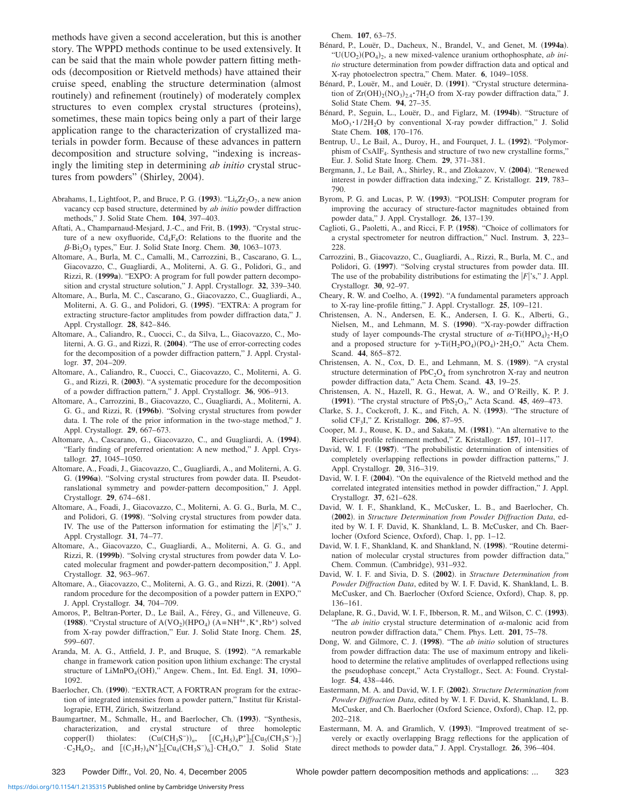methods have given a second acceleration, but this is another story. The WPPD methods continue to be used extensively. It can be said that the main whole powder pattern fitting methods (decomposition or Rietveld methods) have attained their cruise speed, enabling the structure determination (almost routinely) and refinement (routinely) of moderately complex structures to even complex crystal structures (proteins), sometimes, these main topics being only a part of their large application range to the characterization of crystallized materials in powder form. Because of these advances in pattern decomposition and structure solving, "indexing is increasingly the limiting step in determining *ab initio* crystal structures from powders" (Shirley, 2004).

- Abrahams, I., Lightfoot, P., and Bruce, P. G.  $(1993)$ . "Li<sub>6</sub>Zr<sub>2</sub>O<sub>7</sub>, a new anion vacancy ccp based structure, determined by *ab initio* powder diffraction methods," J. Solid State Chem. **104**, 397–403.
- Aftati, A., Champarnaud-Mesjard, J.-C., and Frit, B. (1993). "Crystal structure of a new oxyfluoride,  $Cd_4F_6O$ : Relations to the fluorite and the -Bi2O3 types," Eur. J. Solid State Inorg. Chem. **30**, 1063–1073.
- Altomare, A., Burla, M. C., Camalli, M., Carrozzini, B., Cascarano, G. L., Giacovazzo, C., Guagliardi, A., Moliterni, A. G. G., Polidori, G., and Rizzi, R. (1999a). "EXPO: A program for full powder pattern decomposition and crystal structure solution," J. Appl. Crystallogr. **32**, 339–340.
- Altomare, A., Burla, M. C., Cascarano, G., Giacovazzo, C., Guagliardi, A., Moliterni, A. G. G., and Polidori, G. (1995). "EXTRA: A program for extracting structure-factor amplitudes from powder diffraction data," J. Appl. Crystallogr. **28**, 842–846.
- Altomare, A., Caliandro, R., Cuocci, C., da Silva, L., Giacovazzo, C., Moliterni, A. G. G., and Rizzi, R. (2004). "The use of error-correcting codes for the decomposition of a powder diffraction pattern," J. Appl. Crystallogr. **37**, 204–209.
- Altomare, A., Caliandro, R., Cuocci, C., Giacovazzo, C., Moliterni, A. G. G., and Rizzi, R. (2003). "A systematic procedure for the decomposition of a powder diffraction pattern," J. Appl. Crystallogr. **36**, 906–913.
- Altomare, A., Carrozzini, B., Giacovazzo, C., Guagliardi, A., Moliterni, A. G. G., and Rizzi, R. (1996b). "Solving crystal structures from powder data. I. The role of the prior information in the two-stage method," J. Appl. Crystallogr. **29**, 667–673.
- Altomare, A., Cascarano, G., Giacovazzo, C., and Guagliardi, A. (1994). "Early finding of preferred orientation: A new method," J. Appl. Crystallogr. **27**, 1045–1050.
- Altomare, A., Foadi, J., Giacovazzo, C., Guagliardi, A., and Moliterni, A. G. G. (1996a). "Solving crystal structures from powder data. II. Pseudotranslational symmetry and powder-pattern decomposition," J. Appl. Crystallogr. **29**, 674–681.
- Altomare, A., Foadi, J., Giacovazzo, C., Moliterni, A. G. G., Burla, M. C., and Polidori, G. (1998). "Solving crystal structures from powder data. IV. The use of the Patterson information for estimating the *F*'s," J. Appl. Crystallogr. **31**, 74–77.
- Altomare, A., Giacovazzo, C., Guagliardi, A., Moliterni, A. G. G., and Rizzi, R. (1999b). "Solving crystal structures from powder data V. Located molecular fragment and powder-pattern decomposition," J. Appl. Crystallogr. **32**, 963–967.
- Altomare, A., Giacovazzo, C., Moliterni, A. G. G., and Rizzi, R. (2001). "A random procedure for the decomposition of a powder pattern in EXPO," J. Appl. Crystallogr. **34**, 704–709.
- Amoros, P., Beltran-Porter, D., Le Bail, A., Férey, G., and Villeneuve, G. **(1988).** "Crystal structure of  $A(VO_2)(HPO_4)$   $(A=NH^{4+}, K^+, Rb^+)$  solved from X-ray powder diffraction," Eur. J. Solid State Inorg. Chem. **25**, 599–607.
- Aranda, M. A. G., Attfield, J. P., and Bruque, S. (1992). "A remarkable change in framework cation position upon lithium exchange: The crystal structure of LiMnPO<sub>4</sub>(OH)," Angew. Chem., Int. Ed. Engl. 31, 1090– 1092.
- Baerlocher, Ch. (1990). "EXTRACT, A FORTRAN program for the extraction of integrated intensities from a powder pattern," Institut für Kristallograpie, ETH, Zürich, Switzerland.
- Baumgartner, M., Schmalle, H., and Baerlocher, Ch. (1993). "Synthesis, characterization, and crystal structure of three homoleptic copper(I) thiolates:  $(Cu(CH_3S^-))_n$ ,  $[(C_6H_5)_4P^+]_2[Cu_5(CH_3S^-)_7]$  $\cdot C_2H_6O_2$ , and  $[(C_3H_7)_4N^+]_2[Cu_4(CH_3S^-)_6]\cdot CH_4O$ ," J. Solid State

Chem. **107**, 63–75.

- Bénard, P., Louër, D., Dacheux, N., Brandel, V., and Genet, M. (1994a). "U(UO<sub>2</sub>)(PO<sub>4</sub>)<sub>2</sub>, a new mixed-valence uranium orthophosphate, *ab initio* structure determination from powder diffraction data and optical and X-ray photoelectron spectra," Chem. Mater. **6**, 1049–1058.
- Bénard, P., Louër, M., and Louër, D. (1991). "Crystal structure determination of  $Zr(OH)_2(NO_3)_{2.4}$ •7H<sub>2</sub>O from X-ray powder diffraction data," J. Solid State Chem. **94**, 27–35.
- Bénard, P., Seguin, L., Louër, D., and Figlarz, M. (1994b). "Structure of MoO<sub>3</sub> **·**1/2H<sub>2</sub>O by conventional X-ray powder diffraction," J. Solid State Chem. **108**, 170–176.
- Bentrup, U., Le Bail, A., Duroy, H., and Fourquet, J. L. (1992). "Polymorphism of CsAlF4. Synthesis and structure of two new crystalline forms," Eur. J. Solid State Inorg. Chem. **29**, 371–381.
- Bergmann, J., Le Bail, A., Shirley, R., and Zlokazov, V. (2004). "Renewed interest in powder diffraction data indexing," Z. Kristallogr. **219**, 783– 790.
- Byrom, P. G. and Lucas, P. W. (1993). "POLISH: Computer program for improving the accuracy of structure-factor magnitudes obtained from powder data," J. Appl. Crystallogr. **26**, 137–139.
- Caglioti, G., Paoletti, A., and Ricci, F. P. (1958). "Choice of collimators for a crystal spectrometer for neutron diffraction," Nucl. Instrum. **3**, 223– 228
- Carrozzini, B., Giacovazzo, C., Guagliardi, A., Rizzi, R., Burla, M. C., and Polidori, G. (1997). "Solving crystal structures from powder data. III. The use of the probability distributions for estimating the  $|F|$ 's," J. Appl. Crystallogr. **30**, 92–97.
- Cheary, R. W. and Coelho, A. (1992). "A fundamental parameters approach to X-ray line-profile fitting," J. Appl. Crystallogr. **25**, 109–121.
- Christensen, A. N., Andersen, E. K., Andersen, I. G. K., Alberti, G., Nielsen, M., and Lehmann, M. S. (1990). "X-ray-powder diffraction study of layer compounds-The crystal structure of  $\alpha$ -Ti(HPO<sub>4</sub>)<sub>2</sub>·H<sub>2</sub>O and a proposed structure for  $\gamma$ -Ti $(H_2PO_4)$ (PO<sub>4</sub>)·2H<sub>2</sub>O," Acta Chem. Scand. **44**, 865–872.
- Christensen, A. N., Cox, D. E., and Lehmann, M. S. (1989). "A crystal structure determination of  $PbC_2O_4$  from synchrotron X-ray and neutron powder diffraction data," Acta Chem. Scand. **43**, 19–25.
- Christensen, A. N., Hazell, R. G., Hewat, A. W., and O'Reilly, K. P. J. (1991). "The crystal structure of PbS<sub>2</sub>O<sub>3</sub>," Acta Scand. 45, 469–473.
- Clarke, S. J., Cockcroft, J. K., and Fitch, A. N. (1993). "The structure of solid CF3I," Z. Kristallogr. **206**, 87–95.
- Cooper, M. J., Rouse, K. D., and Sakata, M. (1981). "An alternative to the Rietveld profile refinement method," Z. Kristallogr. **157**, 101–117.
- David, W. I. F. (1987). "The probabilistic determination of intensities of completely overlapping reflections in powder diffraction patterns," J. Appl. Crystallogr. **20**, 316–319.
- David, W. I. F. (2004). "On the equivalence of the Rietveld method and the correlated integrated intensities method in powder diffraction," J. Appl. Crystallogr. **37**, 621–628.
- David, W. I. F., Shankland, K., McCusker, L. B., and Baerlocher, Ch. (2002). in *Structure Determination from Powder Diffraction Data*, edited by W. I. F. David, K. Shankland, L. B. McCusker, and Ch. Baerlocher (Oxford Science, Oxford), Chap. 1, pp. 1-12.
- David, W. I. F., Shankland, K. and Shankland, N. (1998). "Routine determination of molecular crystal structures from powder diffraction data," Chem. Commun. (Cambridge), 931-932.
- David, W. I. F. and Sivia, D. S. (2002). in *Structure Determination from Powder Diffraction Data*, edited by W. I. F. David, K. Shankland, L. B. McCusker, and Ch. Baerlocher (Oxford Science, Oxford), Chap. 8, pp. 136–161.
- Delaplane, R. G., David, W. I. F., Ibberson, R. M., and Wilson, C. C. (1993). "The *ab initio* crystal structure determination of  $\alpha$ -malonic acid from neutron powder diffraction data," Chem. Phys. Lett. **201**, 75–78.
- Dong, W. and Gilmore, C. J. (1998). "The *ab initio* solution of structures from powder diffraction data: The use of maximum entropy and likelihood to determine the relative amplitudes of overlapped reflections using the pseudophase concept," Acta Crystallogr., Sect. A: Found. Crystallogr. **54**, 438–446.
- Eastermann, M. A. and David, W. I. F. (2002). Structure Determination from *Powder Diffraction Data*, edited by W. I. F. David, K. Shankland, L. B. McCusker, and Ch. Baerlocher (Oxford Science, Oxford), Chap. 12, pp. 202–218.
- Eastermann, M. A. and Gramlich, V. (1993). "Improved treatment of severely or exactly overlapping Bragg reflections for the application of direct methods to powder data," J. Appl. Crystallogr. **26**, 396–404.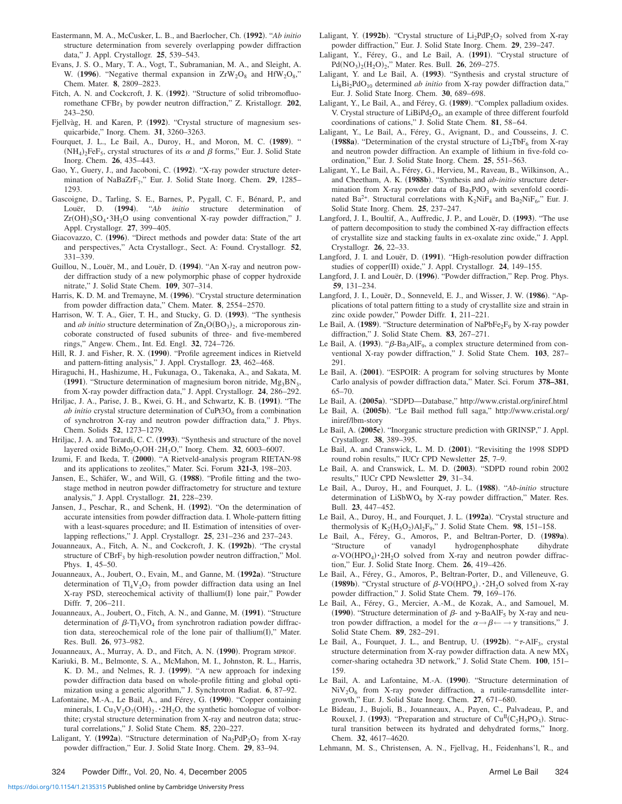- Eastermann, M. A., McCusker, L. B., and Baerlocher, Ch. (1992). "Ab initio structure determination from severely overlapping powder diffraction data," J. Appl. Crystallogr. **25**, 539–543.
- Evans, J. S. O., Mary, T. A., Vogt, T., Subramanian, M. A., and Sleight, A. W. (1996). "Negative thermal expansion in  $ZrW_2O_8$  and  $HfW_2O_8$ ." Chem. Mater. **8**, 2809–2823.
- Fitch, A. N. and Cockcroft, J. K. (1992). "Structure of solid tribromofluoromethane CFBr<sub>3</sub> by powder neutron diffraction," Z. Kristallogr. 202, 243–250.
- Fjellvàg, H. and Karen, P. (1992). "Crystal structure of magnesium sesquicarbide," Inorg. Chem. **31**, 3260–3263.
- Fourquet, J. L., Le Bail, A., Duroy, H., and Moron, M. C. (1989). "  $(NH_4)_2$ FeF<sub>5</sub>, crystal structures of its  $\alpha$  and  $\beta$  forms," Eur. J. Solid State Inorg. Chem. **26**, 435–443.
- Gao, Y., Guery, J., and Jacoboni, C. (1992). "X-ray powder structure determination of NaBaZrF<sub>7</sub>," Eur. J. Solid State Inorg. Chem. 29, 1285– 1293.
- Gascoigne, D., Tarling, S. E., Barnes, P., Pygall, C. F., Bénard, P., and Louër, D. (1994). "*Ab initio* structure determination of Zr(OH)<sub>2</sub>SO<sub>4</sub> · 3H<sub>2</sub>O using conventional X-ray powder diffraction," J. Appl. Crystallogr. **27**, 399–405.
- Giacovazzo, C. (1996). "Direct methods and powder data: State of the art and perspectives," Acta Crystallogr., Sect. A: Found. Crystallogr. **52**, 331–339.
- Guillou, N., Louër, M., and Louër, D. (1994). "An X-ray and neutron powder diffraction study of a new polymorphic phase of copper hydroxide nitrate," J. Solid State Chem. **109**, 307–314.
- Harris, K. D. M. and Tremayne, M. (1996). "Crystal structure determination from powder diffraction data," Chem. Mater. **8**, 2554–2570.
- Harrison, W. T. A., Gier, T. H., and Stucky, G. D. (1993). "The synthesis and *ab initio* structure determination of  $\text{Zn}_4\text{O}(\text{BO}_3)_2$ , a microporous zincoborate constructed of fused subunits of three- and five-membered rings," Angew. Chem., Int. Ed. Engl. **32**, 724–726.
- Hill, R. J. and Fisher, R. X. (1990). "Profile agreement indices in Rietveld and pattern-fitting analysis," J. Appl. Crystallogr. **23**, 462–468.
- Hiraguchi, H., Hashizume, H., Fukunaga, O., Takenaka, A., and Sakata, M. (1991). "Structure determination of magnesium boron nitride, Mg<sub>3</sub>BN<sub>3</sub>, from X-ray powder diffraction data," J. Appl. Crystallogr. **24**, 286–292.
- Hriljac, J. A., Parise, J. B., Kwei, G. H., and Schwartz, K. B. (1991). "The *ab initio* crystal structure determination of  $CuPt3O<sub>6</sub>$  from a combination of synchrotron X-ray and neutron powder diffraction data," J. Phys. Chem. Solids **52**, 1273–1279.
- Hriljac, J. A. and Torardi, C. C. (1993). "Synthesis and structure of the novel layered oxide BiMo<sub>2</sub>O<sub>7</sub>OH·2H<sub>2</sub>O," Inorg. Chem. **32**, 6003-6007.
- Izumi, F. and Ikeda, T. (2000). "A Rietveld-analysis program RIETAN-98 and its applications to zeolites," Mater. Sci. Forum **321-3**, 198–203.
- Jansen, E., Schäfer, W., and Will, G. (1988). "Profile fitting and the twostage method in neutron powder diffractometry for structure and texture analysis," J. Appl. Crystallogr. **21**, 228–239.
- Jansen, J., Peschar, R., and Schenk, H. (1992). "On the determination of accurate intensities from powder diffraction data. I. Whole-pattern fitting with a least-squares procedure; and II. Estimation of intensities of overlapping reflections," J. Appl. Crystallogr. **25**, 231–236 and 237–243.
- Jouanneaux, A., Fitch, A. N., and Cockcroft, J. K. (1992b). "The crystal structure of CBrF<sub>3</sub> by high-resolution powder neutron diffraction," Mol. Phys. **1**, 45–50.
- Jouanneaux, A., Joubert, O., Evain, M., and Ganne, M. (1992a). "Structure determination of  $Tl_4V_2O_7$  from powder diffraction data using an Inel X-ray PSD, stereochemical activity of thallium(I) lone pair," Powder Diffr. **7**, 206–211.
- Jouanneaux, A., Joubert, O., Fitch, A. N., and Ganne, M. (1991). "Structure determination of  $\beta$ -Tl<sub>3</sub>VO<sub>4</sub> from synchrotron radiation powder diffraction data, stereochemical role of the lone pair of thallium(I)," Mater. Res. Bull. **26**, 973–982.
- Jouanneaux, A., Murray, A. D., and Fitch, A. N. (1990). Program MPROF.
- Kariuki, B. M., Belmonte, S. A., McMahon, M. I., Johnston, R. L., Harris, K. D. M., and Nelmes, R. J. (1999). "A new approach for indexing powder diffraction data based on whole-profile fitting and global optimization using a genetic algorithm," J. Synchrotron Radiat. **6**, 87–92.
- Lafontaine, M.-A., Le Bail, A., and Férey, G. (1990). "Copper containing minerals, I.  $Cu_3V_2O_7(OH)_2 \cdot 2H_2O$ , the synthetic homologue of volborthite; crystal structure determination from X-ray and neutron data; structural correlations," J. Solid State Chem. **85**, 220–227.
- Laligant, Y. (1992a). "Structure determination of  $Na<sub>2</sub>PdP<sub>2</sub>O<sub>7</sub>$  from X-ray powder diffraction," Eur. J. Solid State Inorg. Chem. **29**, 83–94.
- Laligant, Y. (1992b). "Crystal structure of  $Li_2PdP_2O_7$  solved from X-ray powder diffraction," Eur. J. Solid State Inorg. Chem. **29**, 239–247.
- Laligant, Y., Férey, G., and Le Bail, A. (1991). "Crystal structure of Pd(NO<sub>3</sub>)<sub>2</sub>(H<sub>2</sub>O)<sub>2</sub>," Mater. Res. Bull. **26**, 269–275.
- Laligant, Y. and Le Bail, A. (1993). "Synthesis and crystal structure of Li<sub>8</sub>Bi<sub>2</sub>PdO<sub>10</sub> determined *ab initio* from X-ray powder diffraction data," Eur. J. Solid State Inorg. Chem. **30**, 689–698.
- Laligant, Y., Le Bail, A., and Férey, G. (1989). "Complex palladium oxides. V. Crystal structure of  $LiBiPd<sub>2</sub>O<sub>4</sub>$ , an example of three different fourfold coordinations of cations," J. Solid State Chem. **81**, 58–64.
- Laligant, Y., Le Bail, A., Férey, G., Avignant, D., and Cousseins, J. C. **1988a**). "Determination of the crystal structure of  $Li<sub>2</sub>TbF<sub>6</sub>$  from X-ray and neutron powder diffraction. An example of lithium in five-fold coordination," Eur. J. Solid State Inorg. Chem. **25**, 551–563.
- Laligant, Y., Le Bail, A., Férey, G., Hervieu, M., Raveau, B., Wilkinson, A., and Cheetham, A. K. (1988b). "Synthesis and *ab-initio* structure determination from X-ray powder data of  $Ba_2PdO_3$  with sevenfold coordinated Ba<sup>2+</sup>. Structural correlations with  $K_2N$ i $F_4$  and Ba<sub>2</sub>Ni $F_6$ ," Eur. J. Solid State Inorg. Chem. **25**, 237–247.
- Langford, J. I., Boultif, A., Auffredic, J. P., and Louër, D. (1993). "The use of pattern decomposition to study the combined X-ray diffraction effects of crystallite size and stacking faults in ex-oxalate zinc oxide," J. Appl. Crystallogr. **26**, 22–33.
- Langford, J. I. and Louër, D. (1991). "High-resolution powder diffraction studies of copper(II) oxide," J. Appl. Crystallogr. 24, 149-155.
- Langford, J. I. and Louër, D. (1996). "Powder diffraction," Rep. Prog. Phys. **59**, 131–234.
- Langford, J. I., Louër, D., Sonneveld, E. J., and Wisser, J. W. (1986). "Applications of total pattern fitting to a study of crystallite size and strain in zinc oxide powder," Powder Diffr. **1**, 211–221.
- Le Bail, A. (1989). "Structure determination of NaPbFe<sub>2</sub>F<sub>9</sub> by X-ray powder diffraction," J. Solid State Chem. **83**, 267–271.
- Le Bail, A. (1993). " $\beta$ -Ba<sub>3</sub>AlF<sub>9</sub>, a complex structure determined from conventional X-ray powder diffraction," J. Solid State Chem. **103**, 287– 291.
- Le Bail, A. (2001). "ESPOIR: A program for solving structures by Monte Carlo analysis of powder diffraction data," Mater. Sci. Forum **378–381**, 65–70.
- Le Bail, A. (2005a). "SDPD-Database," http://www.cristal.org/iniref.html
- Le Bail, A. (2005b). "Le Bail method full saga," http://www.cristal.org/ iniref/lbm-story
- Le Bail, A. (2005c). "Inorganic structure prediction with GRINSP," J. Appl. Crystallogr. **38**, 389–395.
- Le Bail, A. and Cranswick, L. M. D. (2001). "Revisiting the 1998 SDPD round robin results," IUCr CPD Newsletter **25**, 7–9.
- Le Bail, A. and Cranswick, L. M. D. (2003). "SDPD round robin 2002 results," IUCr CPD Newsletter **29**, 31–34.
- Le Bail, A., Duroy, H., and Fourquet, J. L. (1988). "Ab-initio structure determination of  $LiSbWO<sub>6</sub>$  by X-ray powder diffraction," Mater. Res. Bull. **23**, 447–452.
- Le Bail, A., Duroy, H., and Fourquet, J. L. (1992a). "Crystal structure and thermolysis of  $K_2(H_5O_2)Al_2F_9$ ," J. Solid State Chem. **98**, 151–158.
- Le Bail, A., Férey, G., Amoros, P., and Beltran-Porter, D. (1989a). "Structure of vanadyl hydrogenphosphate dihydrate a-VO(HPO<sub>4</sub>)·2H<sub>2</sub>O solved from X-ray and neutron powder diffraction," Eur. J. Solid State Inorg. Chem. **26**, 419–426.
- Le Bail, A., Férey, G., Amoros, P., Beltran-Porter, D., and Villeneuve, G. **1989b**). "Crystal structure of  $\beta$ -VO(HPO<sub>4</sub>).  $\cdot$ 2H<sub>2</sub>O solved from X-ray powder diffraction," J. Solid State Chem. **79**, 169–176.
- Le Bail, A., Férey, G., Mercier, A.-M., de Kozak, A., and Samouel, M. (1990). "Structure determination of  $\beta$ - and  $\gamma$ -BaAlF<sub>5</sub> by X-ray and neutron powder diffraction, a model for the  $\alpha \rightarrow \beta \leftarrow \rightarrow \gamma$  transitions," J. Solid State Chem. **89**, 282–291.
- Le Bail, A., Fourquet, J. L., and Bentrup, U. (1992b). " $\tau$ -AlF<sub>3</sub>, crystal structure determination from X-ray powder diffraction data. A new  $MX<sub>3</sub>$ corner-sharing octahedra 3D network," J. Solid State Chem. **100**, 151– 159.
- Le Bail, A. and Lafontaine, M.-A. (1990). "Structure determination of  $NiV<sub>2</sub>O<sub>6</sub>$  from X-ray powder diffraction, a rutile-ramsdellite intergrowth," Eur. J. Solid State Inorg. Chem. **27**, 671–680.
- Le Bideau, J., Bujoli, B., Jouanneaux, A., Payen, C., Palvadeau, P., and Rouxel, J. (1993). "Preparation and structure of  $Cu<sup>H</sup>(C<sub>2</sub>H<sub>5</sub>PO<sub>3</sub>)$ . Structural transition between its hydrated and dehydrated forms," Inorg. Chem. **32**, 4617–4620.
- Lehmann, M. S., Christensen, A. N., Fjellvag, H., Feidenhans'l, R., and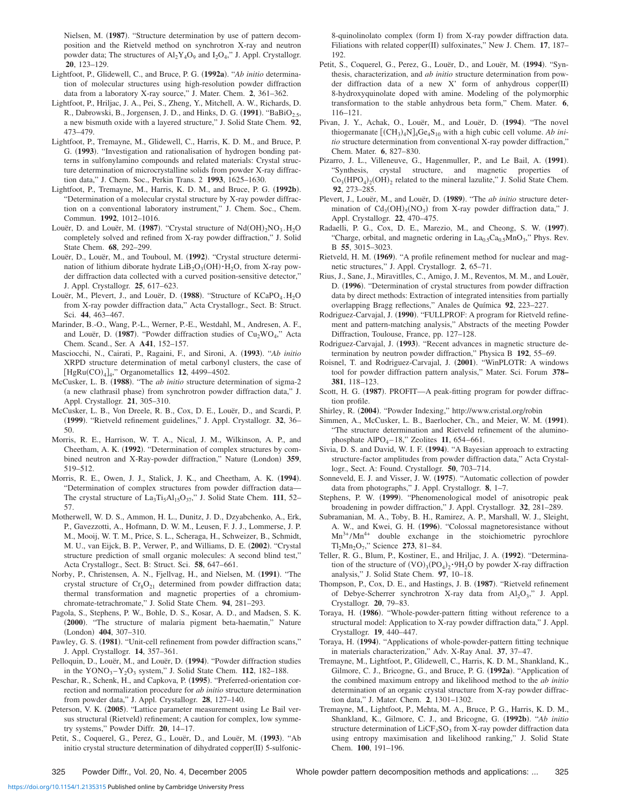Nielsen, M. (1987). "Structure determination by use of pattern decomposition and the Rietveld method on synchrotron X-ray and neutron powder data; The structures of  $Al_2Y_4O_9$  and  $I_2O_4$ ," J. Appl. Crystallogr. **20**, 123–129.

- Lightfoot, P., Glidewell, C., and Bruce, P. G. (1992a). "Ab initio determination of molecular structures using high-resolution powder diffraction data from a laboratory X-ray source," J. Mater. Chem. **2**, 361–362.
- Lightfoot, P., Hriljac, J. A., Pei, S., Zheng, Y., Mitchell, A. W., Richards, D. R., Dabrowski, B., Jorgensen, J. D., and Hinks, D. G. (1991). "BaBiO<sub>2.5</sub>, a new bismuth oxide with a layered structure," J. Solid State Chem. **92**, 473–479.
- Lightfoot, P., Tremayne, M., Glidewell, C., Harris, K. D. M., and Bruce, P. G. (1993). "Investigation and rationalisation of hydrogen bonding patterns in sulfonylamino compounds and related materials: Crystal structure determination of microcrystalline solids from powder X-ray diffraction data," J. Chem. Soc., Perkin Trans. 2 **1993**, 1625–1630.
- Lightfoot, P., Tremayne, M., Harris, K. D. M., and Bruce, P. G. (1992b). "Determination of a molecular crystal structure by X-ray powder diffraction on a conventional laboratory instrument," J. Chem. Soc., Chem. Commun. **1992**, 1012–1016.
- Louër, D. and Louër, M. (1987). "Crystal structure of  $Nd(OH)_2NO_3.H_2O$ completely solved and refined from X-ray powder diffraction," J. Solid State Chem. **68**, 292–299.
- Louër, D., Louër, M., and Touboul, M. (1992). "Crystal structure determination of lithium diborate hydrate LiB<sub>2</sub>O<sub>3</sub>(OH) · H<sub>2</sub>O, from X-ray powder diffraction data collected with a curved position-sensitive detector," J. Appl. Crystallogr. **25**, 617–623.
- Louër, M., Plevert, J., and Louër, D. (1988). "Structure of KCaPO<sub>4</sub>.H<sub>2</sub>O from X-ray powder diffraction data," Acta Crystallogr., Sect. B: Struct. Sci. **44**, 463–467.
- Marinder, B.-O., Wang, P.-L., Werner, P.-E., Westdahl, M., Andresen, A. F., and Louër, D. (1987). "Powder diffraction studies of Cu<sub>2</sub>WO<sub>4</sub>," Acta Chem. Scand., Ser. A **A41**, 152–157.
- Masciocchi, N., Cairati, P., Ragaini, F., and Sironi, A. (1993). "Ab initio XRPD structure determination of metal carbonyl clusters, the case of  $[HgRu(CO)<sub>4</sub>]<sub>4</sub>$ ," Organometallics **12**, 4499–4502.
- McCusker, L. B. (1988). "The *ab initio* structure determination of sigma-2 (a new clathrasil phase) from synchrotron powder diffraction data," J. Appl. Crystallogr. **21**, 305–310.
- McCusker, L. B., Von Dreele, R. B., Cox, D. E., Louër, D., and Scardi, P. **1999**-. "Rietveld refinement guidelines," J. Appl. Crystallogr. **32**, 36– 50.
- Morris, R. E., Harrison, W. T. A., Nical, J. M., Wilkinson, A. P., and Cheetham, A. K. (1992). "Determination of complex structures by combined neutron and X-Ray-powder diffraction," Nature (London) 359, 519–512.
- Morris, R. E., Owen, J. J., Stalick, J. K., and Cheetham, A. K. (1994). "Determination of complex structures from powder diffraction data— The crystal structure of  $La_3Ti_5Al_1SO_{37}$ ," J. Solid State Chem. 111, 52– 57.
- Motherwell, W. D. S., Ammon, H. L., Dunitz, J. D., Dzyabchenko, A., Erk, P., Gavezzotti, A., Hofmann, D. W. M., Leusen, F. J. J., Lommerse, J. P. M., Mooij, W. T. M., Price, S. L., Scheraga, H., Schweizer, B., Schmidt, M. U., van Eijck, B. P., Verwer, P., and Williams, D. E. (2002). "Crystal structure prediction of small organic molecules: A second blind test," Acta Crystallogr., Sect. B: Struct. Sci. **58**, 647–661.
- Norby, P., Christensen, A. N., Fjellvag, H., and Nielsen, M. (1991). "The crystal structure of  $Cr_8O_{21}$  determined from powder diffraction data; thermal transformation and magnetic properties of a chromiumchromate-tetrachromate," J. Solid State Chem. **94**, 281–293.
- Pagola, S., Stephens, P. W., Bohle, D. S., Kosar, A. D., and Madsen, S. K. (2000). "The structure of malaria pigment beta-haematin," Nature (London) 404, 307-310.
- Pawley, G. S. (1981). "Unit-cell refinement from powder diffraction scans," J. Appl. Crystallogr. **14**, 357–361.
- Pelloquin, D., Louër, M., and Louër, D. (1994). "Powder diffraction studies in the  $YONO<sub>3</sub> - Y<sub>2</sub>O<sub>3</sub>$  system," J. Solid State Chem. **112**, 182–188.
- Peschar, R., Schenk, H., and Capkova, P. (1995). "Preferred-orientation correction and normalization procedure for *ab initio* structure determination from powder data," J. Appl. Crystallogr. **28**, 127–140.
- Peterson, V. K. (2005). "Lattice parameter measurement using Le Bail versus structural (Rietveld) refinement; A caution for complex, low symmetry systems," Powder Diffr. **20**, 14–17.
- Petit, S., Coquerel, G., Perez, G., Louër, D., and Louër, M. (1993). "Ab initio crystal structure determination of dihydrated copper(II) 5-sulfonic-

8-quinolinolato complex (form I) from X-ray powder diffraction data. Filiations with related copper(II) sulfoxinates," New J. Chem. 17, 187– 192.

- Petit, S., Coquerel, G., Perez, G., Louër, D., and Louër, M. (1994). "Synthesis, characterization, and *ab initio* structure determination from powder diffraction data of a new  $X'$  form of anhydrous copper $(II)$ 8-hydroxyquinolate doped with amine. Modeling of the polymorphic transformation to the stable anhydrous beta form," Chem. Mater. **6**, 116–121.
- Pivan, J. Y., Achak, O., Louër, M., and Louër, D. (1994). "The novel thiogermanate  $[(CH_3)_4N]_4Ge_4S_{10}$  with a high cubic cell volume. *Ab initio* structure determination from conventional X-ray powder diffraction," Chem. Mater. **6**, 827–830.
- Pizarro, J. L., Villeneuve, G., Hagenmuller, P., and Le Bail, A. (1991). "Synthesis, crystal structure, and magnetic properties of  $Co<sub>3</sub>(HPO<sub>4</sub>)<sub>2</sub>(OH)<sub>2</sub>$  related to the mineral lazulite," J. Solid State Chem. **92**, 273–285.
- Plevert, J., Louër, M., and Louër, D. (1989). "The *ab initio* structure determination of  $Cd_3(OH)_5(NO_3)$  from X-ray powder diffraction data," J. Appl. Crystallogr. **22**, 470–475.
- Radaelli, P. G., Cox, D. E., Marezio, M., and Cheong, S. W. (1997). "Charge, orbital, and magnetic ordering in  $La<sub>0.5</sub>Ca<sub>0.5</sub>MnO<sub>3</sub>$ ," Phys. Rev. B **55**, 3015–3023.
- Rietveld, H. M. (1969). "A profile refinement method for nuclear and magnetic structures," J. Appl. Crystallogr. **2**, 65–71.
- Rius, J., Sane, J., Miravitlles, C., Amigo, J. M., Reventos, M. M., and Louër, D. (1996). "Determination of crystal structures from powder diffraction data by direct methods: Extraction of integrated intensities from partially overlapping Bragg reflections," Anales de Química **92**, 223–227.
- Rodriguez-Carvajal, J. (1990). "FULLPROF: A program for Rietveld refinement and pattern-matching analysis," Abstracts of the meeting Powder Diffraction, Toulouse, France, pp. 127–128.
- Rodriguez-Carvajal, J. (1993). "Recent advances in magnetic structure determination by neutron powder diffraction," Physica B **192**, 55–69.
- Roisnel, T. and Rodriguez-Carvajal, J. (2001). "WinPLOTR: A windows tool for powder diffraction pattern analysis," Mater. Sci. Forum **378– 381**, 118–123.
- Scott, H. G. (1987). PROFIT-A peak-fitting program for powder diffraction profile.
- Shirley, R. (2004). "Powder Indexing," http://www.cristal.org/robin
- Simmen, A., McCusker, L. B., Baerlocher, Ch., and Meier, W. M. (1991). "The structure determination and Rietveld refinement of the aluminophosphate  $AIPO<sub>4</sub>-18$ ," Zeolites 11, 654–661.
- Sivia, D. S. and David, W. I. F. (1994). "A Bayesian approach to extracting structure-factor amplitudes from powder diffraction data," Acta Crystallogr., Sect. A: Found. Crystallogr. **50**, 703–714.
- Sonneveld, E. J. and Visser, J. W. (1975). "Automatic collection of powder data from photographs," J. Appl. Crystallogr. **8**, 1–7.
- Stephens, P. W. (1999). "Phenomenological model of anisotropic peak broadening in powder diffraction," J. Appl. Crystallogr. **32**, 281–289.
- Subramanian, M. A., Toby, B. H., Ramirez, A. P., Marshall, W. J., Sleight, A. W., and Kwei, G. H. (1996). "Colossal magnetoresistance without Mn<sup>3+</sup>/Mn<sup>4+</sup> double exchange in the stoichiometric pyrochlore Tl2Mn2O7," Science **273**, 81–84.
- Teller, R. G., Blum, P., Kostiner, E., and Hriljac, J. A. (1992). "Determination of the structure of  $(VO)_{3}(PO_{4})_{2} \cdot 9H_{2}O$  by powder X-ray diffraction analysis," J. Solid State Chem. **97**, 10–18.
- Thompson, P., Cox, D. E., and Hastings, J. B. (1987). "Rietveld refinement of Debye-Scherrer synchrotron X-ray data from  $Al_2O_3$ ," J. Appl. Crystallogr. **20**, 79–83.
- Toraya, H. (1986). "Whole-powder-pattern fitting without reference to a structural model: Application to X-ray powder diffraction data," J. Appl. Crystallogr. **19**, 440–447.
- Toraya, H. (1994). "Applications of whole-powder-pattern fitting technique in materials characterization," Adv. X-Ray Anal. **37**, 37–47.
- Tremayne, M., Lightfoot, P., Glidewell, C., Harris, K. D. M., Shankland, K., Gilmore, C. J., Bricogne, G., and Bruce, P. G. (1992a). "Application of the combined maximum entropy and likelihood method to the *ab initio* determination of an organic crystal structure from X-ray powder diffraction data," J. Mater. Chem. **2**, 1301–1302.
- Tremayne, M., Lightfoot, P., Mehta, M. A., Bruce, P. G., Harris, K. D. M., Shankland, K., Gilmore, C. J., and Bricogne, G. (1992b). "Ab initio structure determination of  $LiCF<sub>3</sub>SO<sub>3</sub>$  from X-ray powder diffraction data using entropy maximisation and likelihood ranking," J. Solid State Chem. **100**, 191–196.